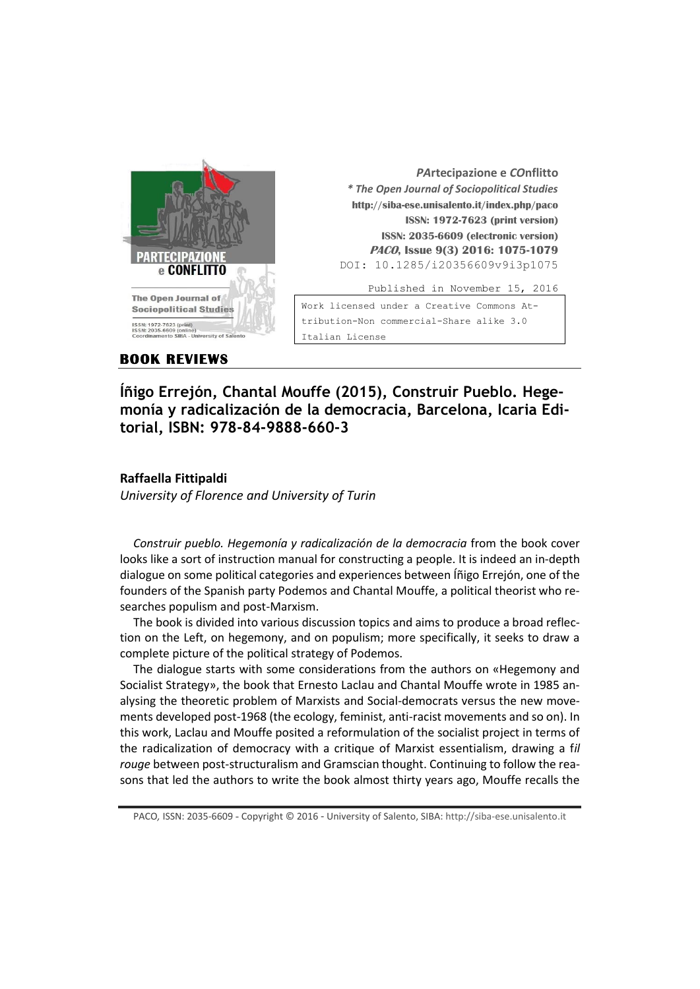

| PArtecipazione e COnflitto                   |
|----------------------------------------------|
| * The Open Journal of Sociopolitical Studies |
| http://siba-ese.unisalento.it/index.php/paco |
| <b>ISSN: 1972-7623 (print version)</b>       |
| ISSN: 2035-6609 (electronic version)         |
| PACO, Issue 9(3) 2016: 1075-1079             |
| DOI: 10.1285/i20356609v9i3p1075              |
| Published in November 15, 2016               |
| Work licensed under a Creative Commons At-   |

## **BOOK REVIEWS**

**Íñigo Errejón, Chantal Mouffe (2015), Construir Pueblo. Hegemonía y radicalización de la democracia, Barcelona, Icaria Editorial, ISBN: 978-84-9888-660-3** 

## **Raffaella Fittipaldi**

*University of Florence and University of Turin*

*Construir pueblo. Hegemonía y radicalización de la democracia* from the book cover looks like a sort of instruction manual for constructing a people. It is indeed an in-depth dialogue on some political categories and experiences between Íñigo Errejón, one of the founders of the Spanish party Podemos and Chantal Mouffe, a political theorist who researches populism and post-Marxism.

The book is divided into various discussion topics and aims to produce a broad reflection on the Left, on hegemony, and on populism; more specifically, it seeks to draw a complete picture of the political strategy of Podemos.

The dialogue starts with some considerations from the authors on «Hegemony and Socialist Strategy», the book that Ernesto Laclau and Chantal Mouffe wrote in 1985 analysing the theoretic problem of Marxists and Social-democrats versus the new movements developed post-1968 (the ecology, feminist, anti-racist movements and so on). In this work, Laclau and Mouffe posited a reformulation of the socialist project in terms of the radicalization of democracy with a critique of Marxist essentialism, drawing a f*il rouge* between post-structuralism and Gramscian thought. Continuing to follow the reasons that led the authors to write the book almost thirty years ago, Mouffe recalls the

PACO*,* ISSN: 2035-6609 - Copyright © 2016 - University of Salento, SIBA: http://siba-ese.unisalento.it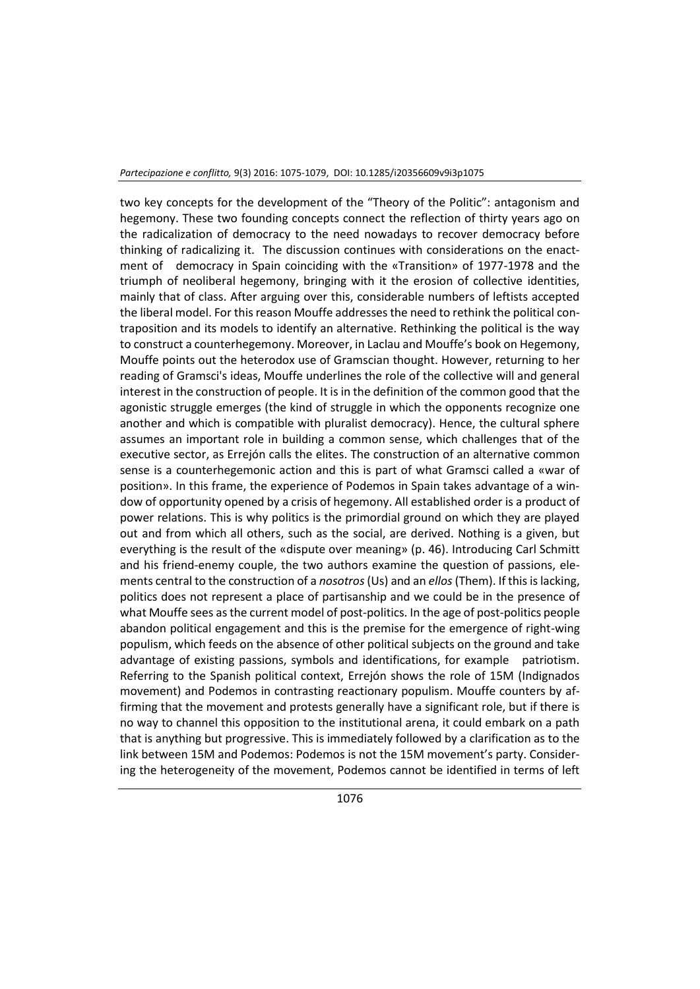two key concepts for the development of the "Theory of the Politic": antagonism and hegemony. These two founding concepts connect the reflection of thirty years ago on the radicalization of democracy to the need nowadays to recover democracy before thinking of radicalizing it. The discussion continues with considerations on the enactment of democracy in Spain coinciding with the «Transition» of 1977-1978 and the triumph of neoliberal hegemony, bringing with it the erosion of collective identities, mainly that of class. After arguing over this, considerable numbers of leftists accepted the liberal model. For this reason Mouffe addresses the need to rethink the political contraposition and its models to identify an alternative. Rethinking the political is the way to construct a counterhegemony. Moreover, in Laclau and Mouffe's book on Hegemony, Mouffe points out the heterodox use of Gramscian thought. However, returning to her reading of Gramsci's ideas, Mouffe underlines the role of the collective will and general interest in the construction of people. It is in the definition of the common good that the agonistic struggle emerges (the kind of struggle in which the opponents recognize one another and which is compatible with pluralist democracy). Hence, the cultural sphere assumes an important role in building a common sense, which challenges that of the executive sector, as Errejón calls the elites. The construction of an alternative common sense is a counterhegemonic action and this is part of what Gramsci called a «war of position». In this frame, the experience of Podemos in Spain takes advantage of a window of opportunity opened by a crisis of hegemony. All established order is a product of power relations. This is why politics is the primordial ground on which they are played out and from which all others, such as the social, are derived. Nothing is a given, but everything is the result of the «dispute over meaning» (p. 46). Introducing Carl Schmitt and his friend-enemy couple, the two authors examine the question of passions, elements central to the construction of a *nosotros*(Us) and an *ellos* (Them). If this is lacking, politics does not represent a place of partisanship and we could be in the presence of what Mouffe sees as the current model of post-politics. In the age of post-politics people abandon political engagement and this is the premise for the emergence of right-wing populism, which feeds on the absence of other political subjects on the ground and take advantage of existing passions, symbols and identifications, for example patriotism. Referring to the Spanish political context, Errejón shows the role of 15M (Indignados movement) and Podemos in contrasting reactionary populism. Mouffe counters by affirming that the movement and protests generally have a significant role, but if there is no way to channel this opposition to the institutional arena, it could embark on a path that is anything but progressive. This is immediately followed by a clarification as to the link between 15M and Podemos: Podemos is not the 15M movement's party. Considering the heterogeneity of the movement, Podemos cannot be identified in terms of left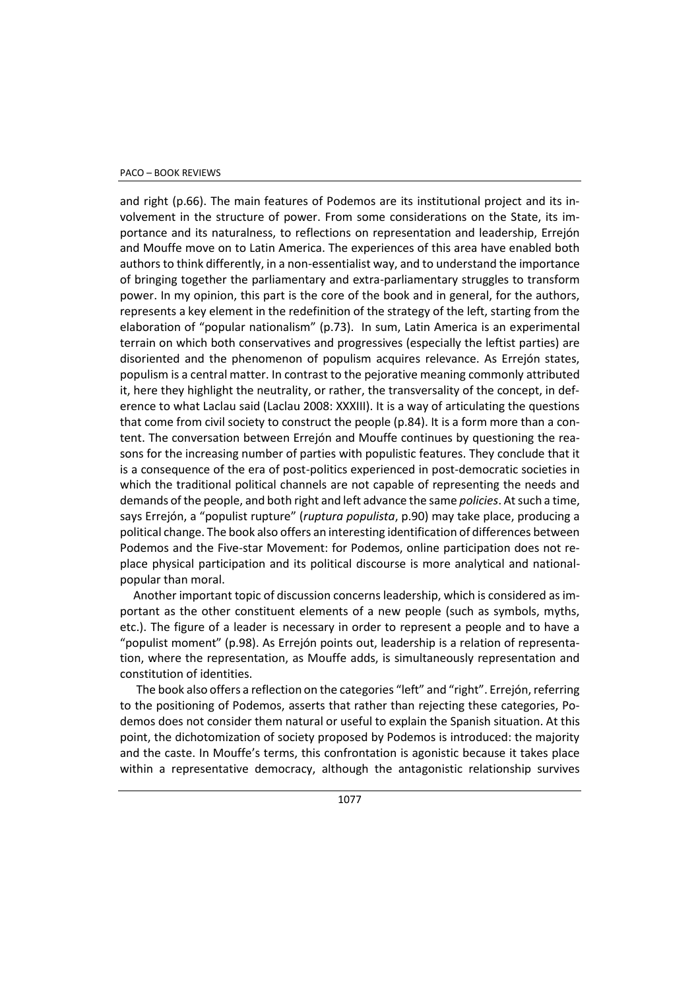## PACO – BOOK REVIEWS

and right (p.66). The main features of Podemos are its institutional project and its involvement in the structure of power. From some considerations on the State, its importance and its naturalness, to reflections on representation and leadership, Errejón and Mouffe move on to Latin America. The experiences of this area have enabled both authors to think differently, in a non-essentialist way, and to understand the importance of bringing together the parliamentary and extra-parliamentary struggles to transform power. In my opinion, this part is the core of the book and in general, for the authors, represents a key element in the redefinition of the strategy of the left, starting from the elaboration of "popular nationalism" (p.73). In sum, Latin America is an experimental terrain on which both conservatives and progressives (especially the leftist parties) are disoriented and the phenomenon of populism acquires relevance. As Errejón states, populism is a central matter. In contrast to the pejorative meaning commonly attributed it, here they highlight the neutrality, or rather, the transversality of the concept, in deference to what Laclau said (Laclau 2008: XXXIII). It is a way of articulating the questions that come from civil society to construct the people (p.84). It is a form more than a content. The conversation between Errejón and Mouffe continues by questioning the reasons for the increasing number of parties with populistic features. They conclude that it is a consequence of the era of post-politics experienced in post-democratic societies in which the traditional political channels are not capable of representing the needs and demands of the people, and both right and left advance the same *policies*. At such a time, says Errejón, a "populist rupture" (*ruptura populista*, p.90) may take place, producing a political change. The book also offers an interesting identification of differences between Podemos and the Five-star Movement: for Podemos, online participation does not replace physical participation and its political discourse is more analytical and nationalpopular than moral.

Another important topic of discussion concerns leadership, which is considered as important as the other constituent elements of a new people (such as symbols, myths, etc.). The figure of a leader is necessary in order to represent a people and to have a "populist moment" (p.98). As Errejón points out, leadership is a relation of representation, where the representation, as Mouffe adds, is simultaneously representation and constitution of identities.

The book also offers a reflection on the categories "left" and "right". Errejón, referring to the positioning of Podemos, asserts that rather than rejecting these categories, Podemos does not consider them natural or useful to explain the Spanish situation. At this point, the dichotomization of society proposed by Podemos is introduced: the majority and the caste. In Mouffe's terms, this confrontation is agonistic because it takes place within a representative democracy, although the antagonistic relationship survives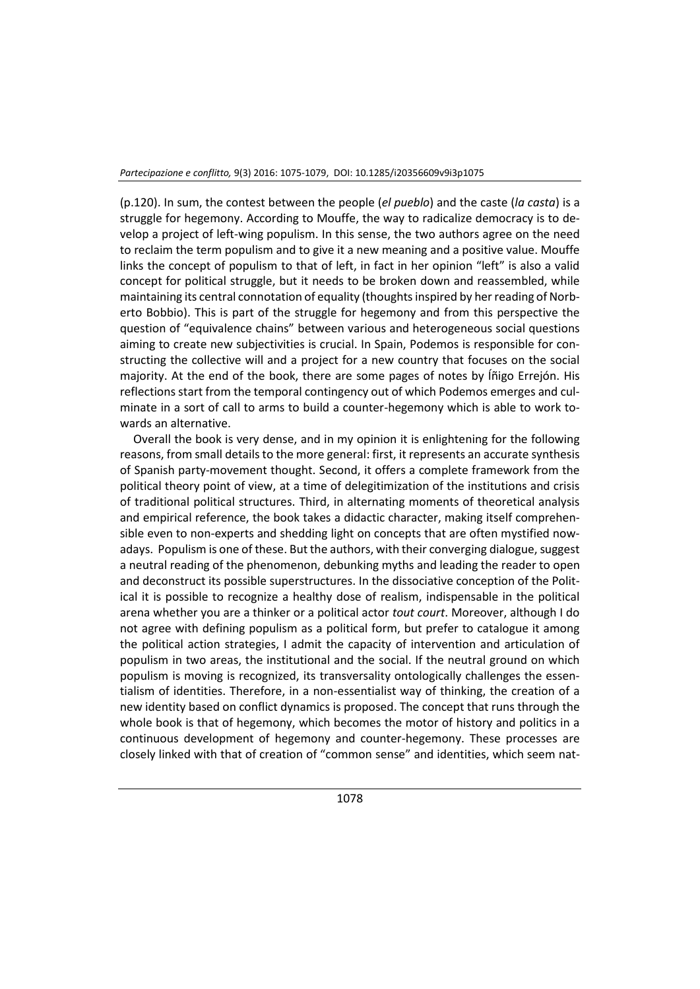(p.120). In sum, the contest between the people (*el pueblo*) and the caste (*la casta*) is a struggle for hegemony. According to Mouffe, the way to radicalize democracy is to develop a project of left-wing populism. In this sense, the two authors agree on the need to reclaim the term populism and to give it a new meaning and a positive value. Mouffe links the concept of populism to that of left, in fact in her opinion "left" is also a valid concept for political struggle, but it needs to be broken down and reassembled, while maintaining its central connotation of equality (thoughts inspired by her reading of Norberto Bobbio). This is part of the struggle for hegemony and from this perspective the question of "equivalence chains" between various and heterogeneous social questions aiming to create new subjectivities is crucial. In Spain, Podemos is responsible for constructing the collective will and a project for a new country that focuses on the social majority. At the end of the book, there are some pages of notes by Íñigo Errejón. His reflections start from the temporal contingency out of which Podemos emerges and culminate in a sort of call to arms to build a counter-hegemony which is able to work towards an alternative.

Overall the book is very dense, and in my opinion it is enlightening for the following reasons, from small details to the more general: first, it represents an accurate synthesis of Spanish party-movement thought. Second, it offers a complete framework from the political theory point of view, at a time of delegitimization of the institutions and crisis of traditional political structures. Third, in alternating moments of theoretical analysis and empirical reference, the book takes a didactic character, making itself comprehensible even to non-experts and shedding light on concepts that are often mystified nowadays. Populism is one of these. But the authors, with their converging dialogue, suggest a neutral reading of the phenomenon, debunking myths and leading the reader to open and deconstruct its possible superstructures. In the dissociative conception of the Political it is possible to recognize a healthy dose of realism, indispensable in the political arena whether you are a thinker or a political actor *tout court*. Moreover, although I do not agree with defining populism as a political form, but prefer to catalogue it among the political action strategies, I admit the capacity of intervention and articulation of populism in two areas, the institutional and the social. If the neutral ground on which populism is moving is recognized, its transversality ontologically challenges the essentialism of identities. Therefore, in a non-essentialist way of thinking, the creation of a new identity based on conflict dynamics is proposed. The concept that runs through the whole book is that of hegemony, which becomes the motor of history and politics in a continuous development of hegemony and counter-hegemony. These processes are closely linked with that of creation of "common sense" and identities, which seem nat-